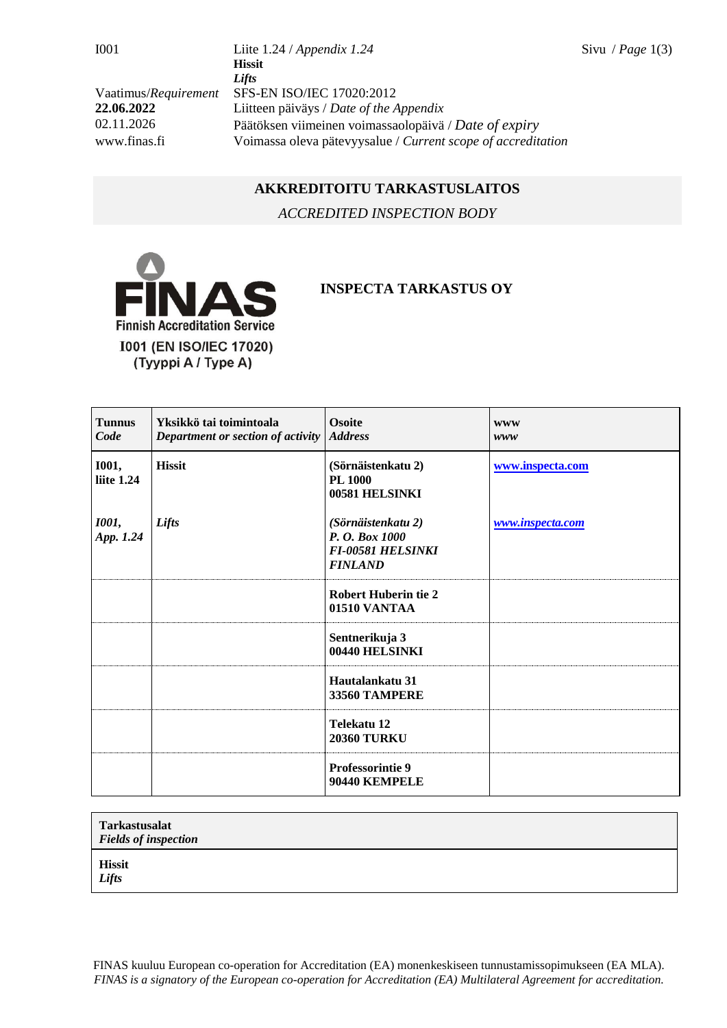I001 Liite 1.24 / *Appendix 1.24* Sivu / *Page* 1(3) **Hissit** *Lifts* Vaatimus/*Requirement* SFS-EN ISO/IEC 17020:2012 **22.06.2022** Liitteen päiväys / *Date of the Appendix* 02.11.2026 Päätöksen viimeinen voimassaolopäivä / *Date of expiry* www.finas.fi Voimassa oleva pätevyysalue / *Current scope of accreditation*

## **AKKREDITOITU TARKASTUSLAITOS**

*ACCREDITED INSPECTION BODY*



## **INSPECTA TARKASTUS OY**

| <b>Tunnus</b><br>Code      | Yksikkö tai toimintoala<br>Department or section of activity | <b>Osoite</b><br><b>Address</b>                                                    | <b>WWW</b><br>www |
|----------------------------|--------------------------------------------------------------|------------------------------------------------------------------------------------|-------------------|
| <b>1001,</b><br>liite 1.24 | <b>Hissit</b>                                                | (Sörnäistenkatu 2)<br><b>PL 1000</b><br>00581 HELSINKI                             | www.inspecta.com  |
| <b>1001</b> ,<br>App. 1.24 | Lifts                                                        | (Sörnäistenkatu 2)<br>P. O. Box 1000<br><b>FI-00581 HELSINKI</b><br><b>FINLAND</b> | www.inspecta.com  |
|                            |                                                              | <b>Robert Huberin tie 2</b><br>01510 VANTAA                                        |                   |
|                            |                                                              | Sentnerikuja 3<br>00440 HELSINKI                                                   |                   |
|                            |                                                              | Hautalankatu 31<br>33560 TAMPERE                                                   |                   |
|                            |                                                              | Telekatu 12<br><b>20360 TURKU</b>                                                  |                   |
|                            |                                                              | <b>Professorintie 9</b><br>90440 KEMPELE                                           |                   |

| <b>Tarkastusalat</b><br><b>Fields of inspection</b> |  |
|-----------------------------------------------------|--|
| <b>Hissit</b><br>Lifts                              |  |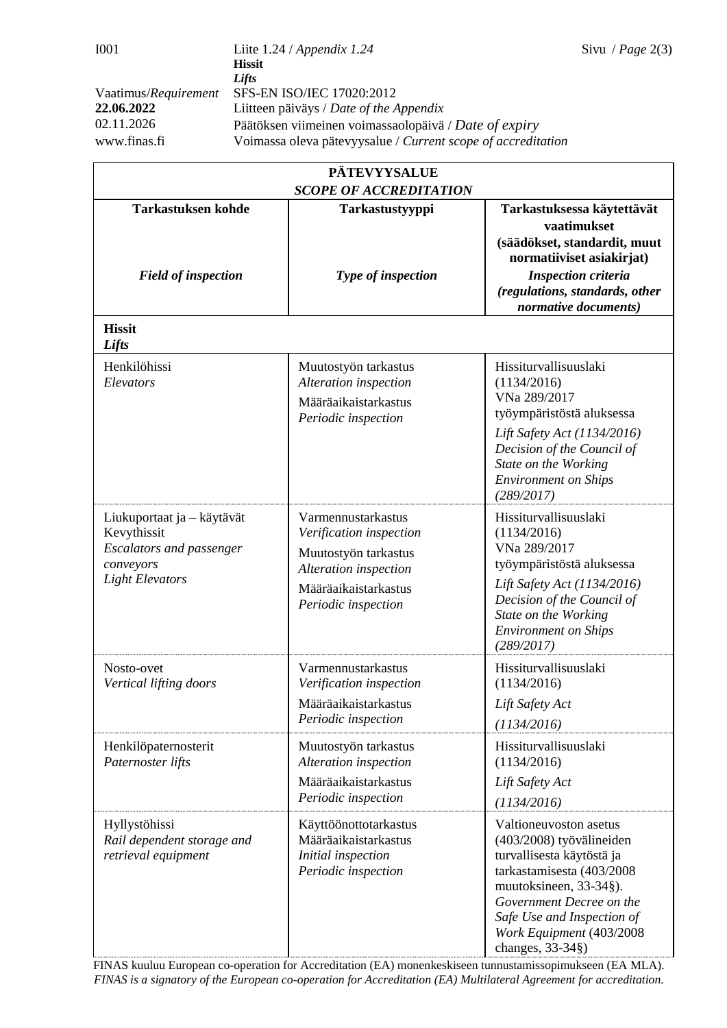| <b>PÄTEVYYSALUE</b>                                                                                                 |                                                                                                                                               |                                                                                                                                                                                                                                                   |  |  |  |
|---------------------------------------------------------------------------------------------------------------------|-----------------------------------------------------------------------------------------------------------------------------------------------|---------------------------------------------------------------------------------------------------------------------------------------------------------------------------------------------------------------------------------------------------|--|--|--|
| <b>SCOPE OF ACCREDITATION</b>                                                                                       |                                                                                                                                               |                                                                                                                                                                                                                                                   |  |  |  |
| <b>Tarkastuksen kohde</b>                                                                                           | Tarkastustyyppi<br>Type of inspection                                                                                                         | Tarkastuksessa käytettävät<br>vaatimukset<br>(säädökset, standardit, muut                                                                                                                                                                         |  |  |  |
| <b>Field of inspection</b>                                                                                          |                                                                                                                                               | normatiiviset asiakirjat)<br><b>Inspection criteria</b><br>(regulations, standards, other<br>normative documents)                                                                                                                                 |  |  |  |
| <b>Hissit</b><br>Lifts                                                                                              |                                                                                                                                               |                                                                                                                                                                                                                                                   |  |  |  |
| Henkilöhissi<br>Elevators                                                                                           | Muutostyön tarkastus<br>Alteration inspection<br>Määräaikaistarkastus<br>Periodic inspection                                                  | Hissiturvallisuuslaki<br>(1134/2016)<br>VNa 289/2017<br>työympäristöstä aluksessa<br>Lift Safety Act (1134/2016)<br>Decision of the Council of<br>State on the Working<br><b>Environment on Ships</b><br>(289/2017)                               |  |  |  |
| Liukuportaat ja – käytävät<br>Kevythissit<br><b>Escalators and passenger</b><br>conveyors<br><b>Light Elevators</b> | Varmennustarkastus<br>Verification inspection<br>Muutostyön tarkastus<br>Alteration inspection<br>Määräaikaistarkastus<br>Periodic inspection | Hissiturvallisuuslaki<br>(1134/2016)<br>VNa 289/2017<br>työympäristöstä aluksessa<br>Lift Safety Act (1134/2016)<br>Decision of the Council of<br>State on the Working<br><b>Environment on Ships</b><br>(289/2017)                               |  |  |  |
| Nosto-ovet<br>Vertical lifting doors                                                                                | Varmennustarkastus<br>Verification inspection<br>Määräaikaistarkastus<br>Periodic inspection                                                  | Hissiturvallisuuslaki<br>(1134/2016)<br>Lift Safety Act<br>(1134/2016)                                                                                                                                                                            |  |  |  |
| Henkilöpaternosterit<br>Paternoster lifts                                                                           | Muutostyön tarkastus<br>Alteration inspection<br>Määräaikaistarkastus<br>Periodic inspection                                                  | Hissiturvallisuuslaki<br>(1134/2016)<br>Lift Safety Act<br>(1134/2016)                                                                                                                                                                            |  |  |  |
| Hyllystöhissi<br>Rail dependent storage and<br>retrieval equipment                                                  | Käyttöönottotarkastus<br>Määräaikaistarkastus<br>Initial inspection<br>Periodic inspection                                                    | Valtioneuvoston asetus<br>(403/2008) työvälineiden<br>turvallisesta käytöstä ja<br>tarkastamisesta (403/2008)<br>muutoksineen, 33-34§).<br>Government Decree on the<br>Safe Use and Inspection of<br>Work Equipment (403/2008<br>changes, 33-34§) |  |  |  |

FINAS kuuluu European co-operation for Accreditation (EA) monenkeskiseen tunnustamissopimukseen (EA MLA). *FINAS is a signatory of the European co-operation for Accreditation (EA) Multilateral Agreement for accreditation.*